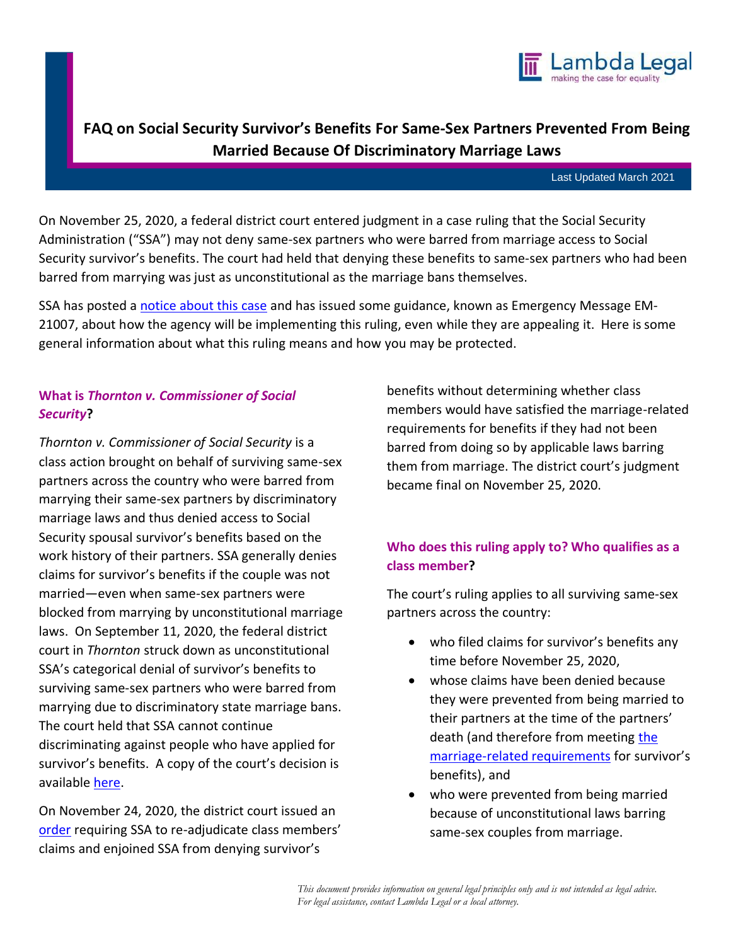

# **FAQ on Social Security Survivor's Benefits For Same-Sex Partners Prevented From Being Married Because Of Discriminatory Marriage Laws**

Last Updated March 2021

On November 25, 2020, a federal district court entered judgment in a case ruling that the Social Security Administration ("SSA") may not deny same-sex partners who were barred from marriage access to Social Security survivor's benefits. The court had held that denying these benefits to same-sex partners who had been barred from marrying was just as unconstitutional as the marriage bans themselves.

SSA has posted a notice about this case and has issued some guidance, known as Emergency Message EM-21007, about how the agency will be implementing this ruling, even while they are appealing it. Here is some general information about what this ruling means and how you may be protected.

# **What is** *Thornton v. Commissioner of Social Security***?**

*Thornton v. Commissioner of Social Security* is a class action brought on behalf of surviving same-sex partners across the country who were barred from marrying their same-sex partners by discriminatory marriage laws and thus denied access to Social Security spousal survivor's benefits based on the work history of their partners. SSA generally denies claims for survivor's benefits if the couple was not married—even when same-sex partners were blocked from marrying by unconstitutional marriage laws. On September 11, 2020, the federal district court in *Thornton* struck down as unconstitutional SSA's categorical denial of survivor's benefits to surviving same-sex partners who were barred from marrying due to discriminatory state marriage bans. The court held that SSA cannot continue discriminating against people who have applied for survivor's benefits. A copy of the court's decision is available here.

On November 24, 2020, the district court issued an order requiring SSA to re-adjudicate class members' claims and enjoined SSA from denying survivor's

benefits without determining whether class members would have satisfied the marriage-related requirements for benefits if they had not been barred from doing so by applicable laws barring them from marriage. The district court's judgment became final on November 25, 2020.

# **Who does this ruling apply to? Who qualifies as a class member?**

The court's ruling applies to all surviving same-sex partners across the country:

- who filed claims for survivor's benefits any time before November 25, 2020,
- whose claims have been denied because they were prevented from being married to their partners at the time of the partners' death (and therefore from meeting the marriage-related requirements for survivor's benefits), and
- who were prevented from being married because of unconstitutional laws barring same-sex couples from marriage.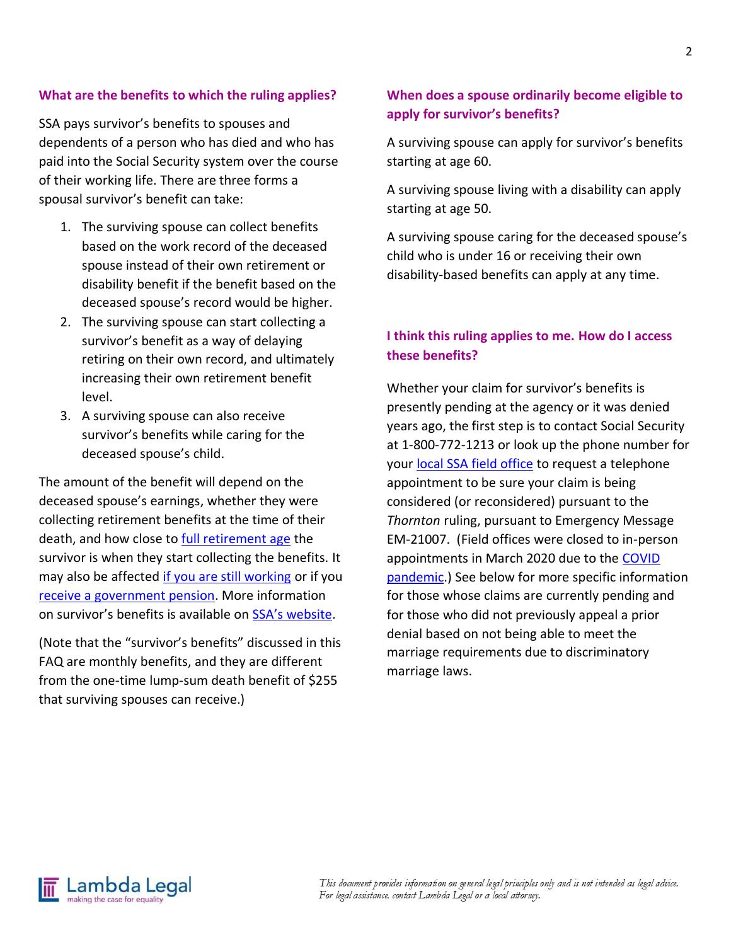#### **What are the benefits to which the ruling applies?**

SSA pays survivor's benefits to spouses and dependents of a person who has died and who has paid into the Social Security system over the course of their working life. There are three forms a spousal survivor's benefit can take:

- 1. The surviving spouse can collect benefits based on the work record of the deceased spouse instead of their own retirement or disability benefit if the benefit based on the deceased spouse's record would be higher.
- 2. The surviving spouse can start collecting a survivor's benefit as a way of delaying retiring on their own record, and ultimately increasing their own retirement benefit level.
- 3. A surviving spouse can also receive survivor's benefits while caring for the deceased spouse's child.

The amount of the benefit will depend on the deceased spouse's earnings, whether they were collecting retirement benefits at the time of their death, and how close to full retirement age the survivor is when they start collecting the benefits. It may also be affected if you are still working or if you receive a government pension</u>. More information on survivor's benefits is available on SSA's website.

(Note that the "survivor's benefits" discussed in this FAQ are monthly benefits, and they are different from the one-time lump-sum death benefit of \$255 that surviving spouses can receive.)

#### **When does a spouse ordinarily become eligible to apply for survivor's benefits?**

A surviving spouse can apply for survivor's benefits starting at age 60.

A surviving spouse living with a disability can apply starting at age 50.

A surviving spouse caring for the deceased spouse's child who is under 16 or receiving their own disability-based benefits can apply at any time.

#### **I think this ruling applies to me. How do I access these benefits?**

Whether your claim for survivor's benefits is presently pending at the agency or it was denied years ago, the first step is to contact Social Security at 1-800-772-1213 or look up the phone number for your local SSA field office to request a telephone appointment to be sure your claim is being considered (or reconsidered) pursuant to the *Thornton* ruling, pursuant to Emergency Message EM-21007. (Field offices were closed to in-person appointments in March 2020 due to the COVID pandemic.) See below for more specific information for those whose claims are currently pending and for those who did not previously appeal a prior denial based on not being able to meet the marriage requirements due to discriminatory marriage laws.

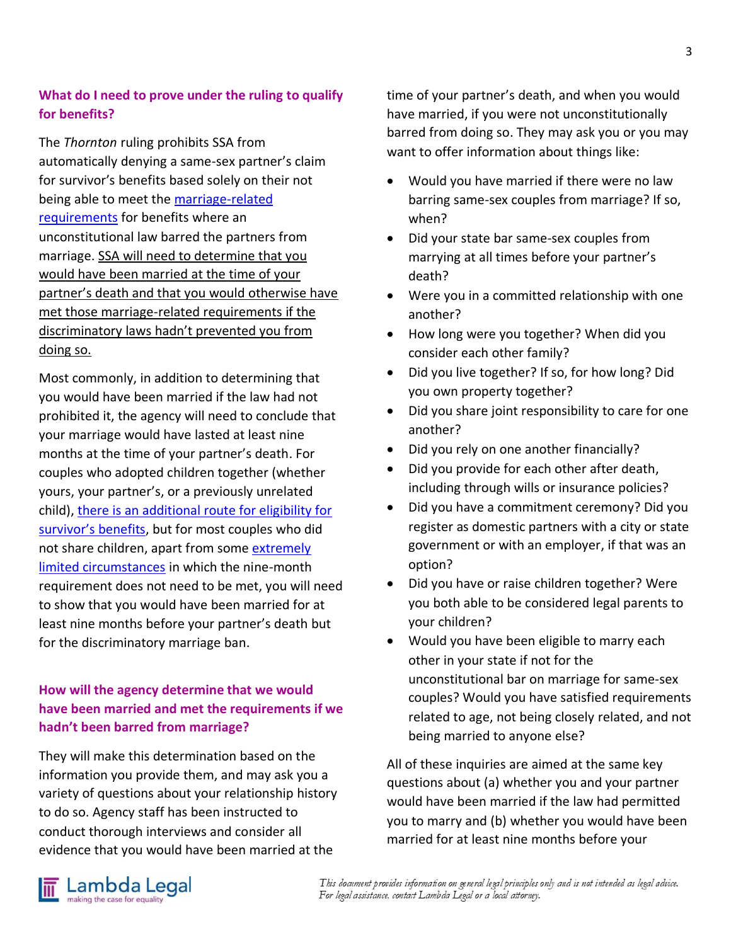### **What do I need to prove under the ruling to qualify for benefits?**

The *Thornton* ruling prohibits SSA from automatically denying a same-sex partner's claim for survivor's benefits based solely on their not being able to meet the marriage-related requirements for benefits where an unconstitutional law barred the partners from marriage. SSA will need to determine that you would have been married at the time of your partner's death and that you would otherwise have met those marriage-related requirements if the discriminatory laws hadn't prevented you from doing so.

Most commonly, in addition to determining that you would have been married if the law had not prohibited it, the agency will need to conclude that your marriage would have lasted at least nine months at the time of your partner's death. For couples who adopted children together (whether yours, your partner's, or a previously unrelated child), there is an additional route for eligibility for survivor's benefits, but for most couples who did not share children, apart from some extremely limited circumstances in which the nine-month requirement does not need to be met, you will need to show that you would have been married for at least nine months before your partner's death but for the discriminatory marriage ban.

# **How will the agency determine that we would have been married and met the requirements if we hadn't been barred from marriage?**

They will make this determination based on the information you provide them, and may ask you a variety of questions about your relationship history to do so. Agency staff has been instructed to conduct thorough interviews and consider all evidence that you would have been married at the

time of your partner's death, and when you would have married, if you were not unconstitutionally barred from doing so. They may ask you or you may want to offer information about things like:

- Would you have married if there were no law barring same-sex couples from marriage? If so, when?
- Did your state bar same-sex couples from marrying at all times before your partner's death?
- Were you in a committed relationship with one another?
- How long were you together? When did you consider each other family?
- Did you live together? If so, for how long? Did you own property together?
- Did you share joint responsibility to care for one another?
- Did you rely on one another financially?
- Did you provide for each other after death, including through wills or insurance policies?
- Did you have a commitment ceremony? Did you register as domestic partners with a city or state government or with an employer, if that was an option?
- Did you have or raise children together? Were you both able to be considered legal parents to your children?
- Would you have been eligible to marry each other in your state if not for the unconstitutional bar on marriage for same-sex couples? Would you have satisfied requirements related to age, not being closely related, and not being married to anyone else?

All of these inquiries are aimed at the same key questions about (a) whether you and your partner would have been married if the law had permitted you to marry and (b) whether you would have been married for at least nine months before your

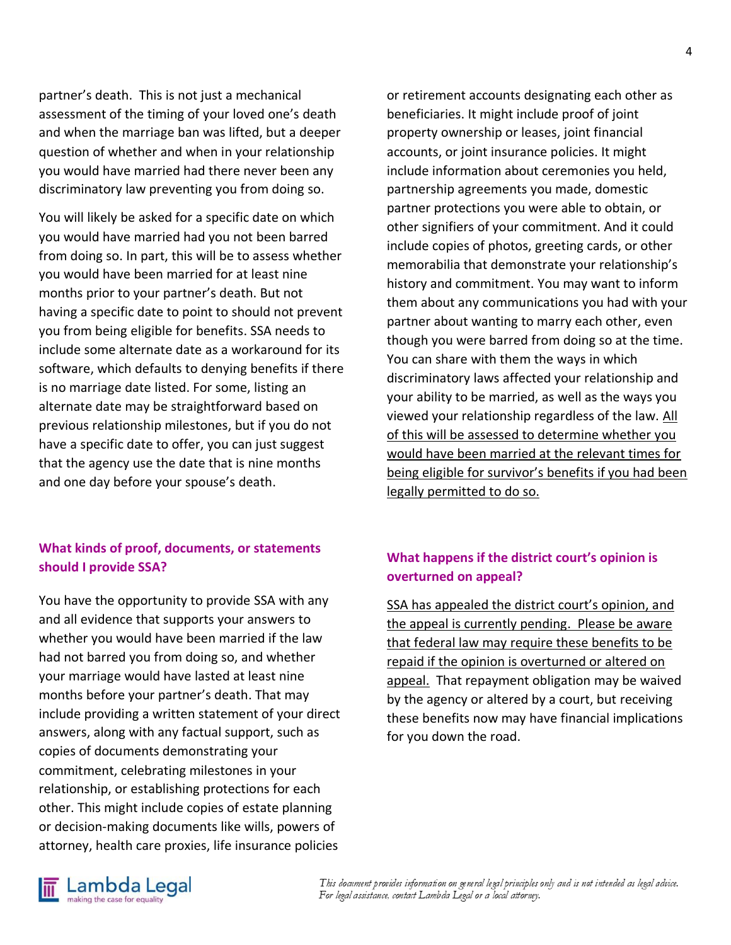partner's death. This is not just a mechanical assessment of the timing of your loved one's death and when the marriage ban was lifted, but a deeper question of whether and when in your relationship you would have married had there never been any discriminatory law preventing you from doing so.

You will likely be asked for a specific date on which you would have married had you not been barred from doing so. In part, this will be to assess whether you would have been married for at least nine months prior to your partner's death. But not having a specific date to point to should not prevent you from being eligible for benefits. SSA needs to include some alternate date as a workaround for its software, which defaults to denying benefits if there is no marriage date listed. For some, listing an alternate date may be straightforward based on previous relationship milestones, but if you do not have a specific date to offer, you can just suggest that the agency use the date that is nine months and one day before your spouse's death.

#### **What kinds of proof, documents, or statements should I provide SSA?**

You have the opportunity to provide SSA with any and all evidence that supports your answers to whether you would have been married if the law had not barred you from doing so, and whether your marriage would have lasted at least nine months before your partner's death. That may include providing a written statement of your direct answers, along with any factual support, such as copies of documents demonstrating your commitment, celebrating milestones in your relationship, or establishing protections for each other. This might include copies of estate planning or decision-making documents like wills, powers of attorney, health care proxies, life insurance policies

or retirement accounts designating each other as beneficiaries. It might include proof of joint property ownership or leases, joint financial accounts, or joint insurance policies. It might include information about ceremonies you held, partnership agreements you made, domestic partner protections you were able to obtain, or other signifiers of your commitment. And it could include copies of photos, greeting cards, or other memorabilia that demonstrate your relationship's history and commitment. You may want to inform them about any communications you had with your partner about wanting to marry each other, even though you were barred from doing so at the time. You can share with them the ways in which discriminatory laws affected your relationship and your ability to be married, as well as the ways you viewed your relationship regardless of the law. All of this will be assessed to determine whether you would have been married at the relevant times for being eligible for survivor's benefits if you had been legally permitted to do so.

# **What happens if the district court's opinion is overturned on appeal?**

SSA has appealed the district court's opinion, and the appeal is currently pending. Please be aware that federal law may require these benefits to be repaid if the opinion is overturned or altered on appeal. That repayment obligation may be waived by the agency or altered by a court, but receiving these benefits now may have financial implications for you down the road.

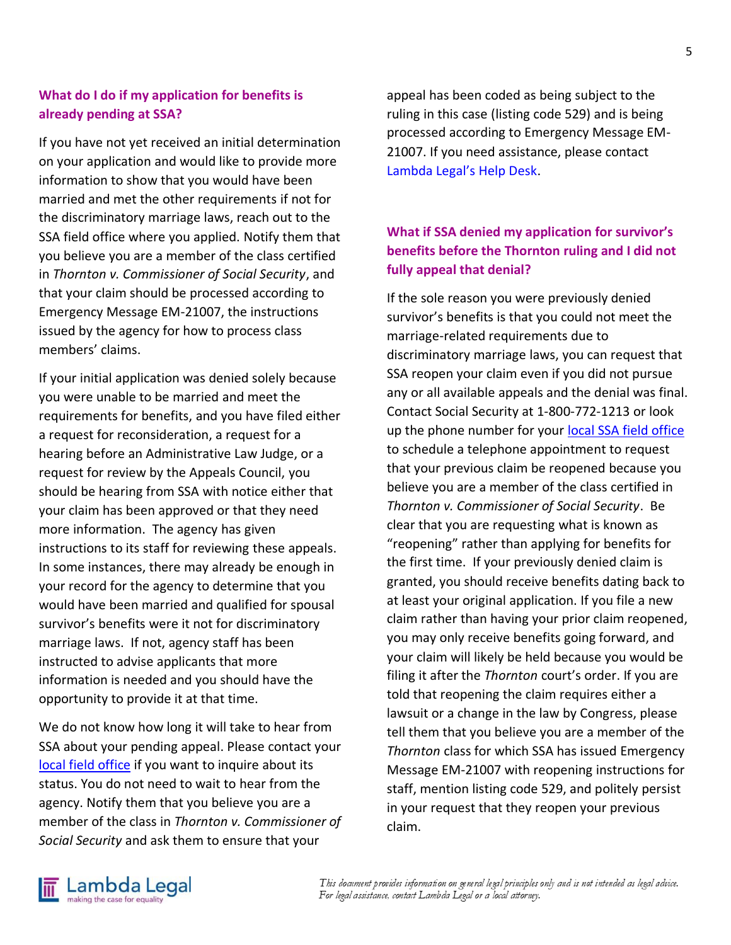#### **What do I do if my application for benefits is already pending at SSA?**

If you have not yet received an initial determination on your application and would like to provide more information to show that you would have been married and met the other requirements if not for the discriminatory marriage laws, reach out to the SSA field office where you applied. Notify them that you believe you are a member of the class certified in *Thornton v. Commissioner of Social Security*, and that your claim should be processed according to Emergency Message EM-21007, the instructions issued by the agency for how to process class members' claims.

If your initial application was denied solely because you were unable to be married and meet the requirements for benefits, and you have filed either a request for reconsideration, a request for a hearing before an Administrative Law Judge, or a request for review by the Appeals Council, you should be hearing from SSA with notice either that your claim has been approved or that they need more information. The agency has given instructions to its staff for reviewing these appeals. In some instances, there may already be enough in your record for the agency to determine that you would have been married and qualified for spousal survivor's benefits were it not for discriminatory marriage laws. If not, agency staff has been instructed to advise applicants that more information is needed and you should have the opportunity to provide it at that time.

We do not know how long it will take to hear from SSA about your pending appeal. Please contact your local field office if you want to inquire about its status. You do not need to wait to hear from the agency. Notify them that you believe you are a member of the class in *Thornton v. Commissioner of Social Security* and ask them to ensure that your

appeal has been coded as being subject to the ruling in this case (listing code 529) and is being processed according to Emergency Message EM-21007. If you need assistance, please contact Lambda Legal's Help Desk.

# **What if SSA denied my application for survivor's benefits before the Thornton ruling and I did not fully appeal that denial?**

If the sole reason you were previously denied survivor's benefits is that you could not meet the marriage-related requirements due to discriminatory marriage laws, you can request that SSA reopen your claim even if you did not pursue any or all available appeals and the denial was final. Contact Social Security at 1-800-772-1213 or look up the phone number for your local SSA field office to schedule a telephone appointment to request that your previous claim be reopened because you believe you are a member of the class certified in *Thornton v. Commissioner of Social Security*. Be clear that you are requesting what is known as "reopening" rather than applying for benefits for the first time. If your previously denied claim is granted, you should receive benefits dating back to at least your original application. If you file a new claim rather than having your prior claim reopened, you may only receive benefits going forward, and your claim will likely be held because you would be filing it after the *Thornton* court's order. If you are told that reopening the claim requires either a lawsuit or a change in the law by Congress, please tell them that you believe you are a member of the *Thornton* class for which SSA has issued Emergency Message EM-21007 with reopening instructions for staff, mention listing code 529, and politely persist in your request that they reopen your previous claim.

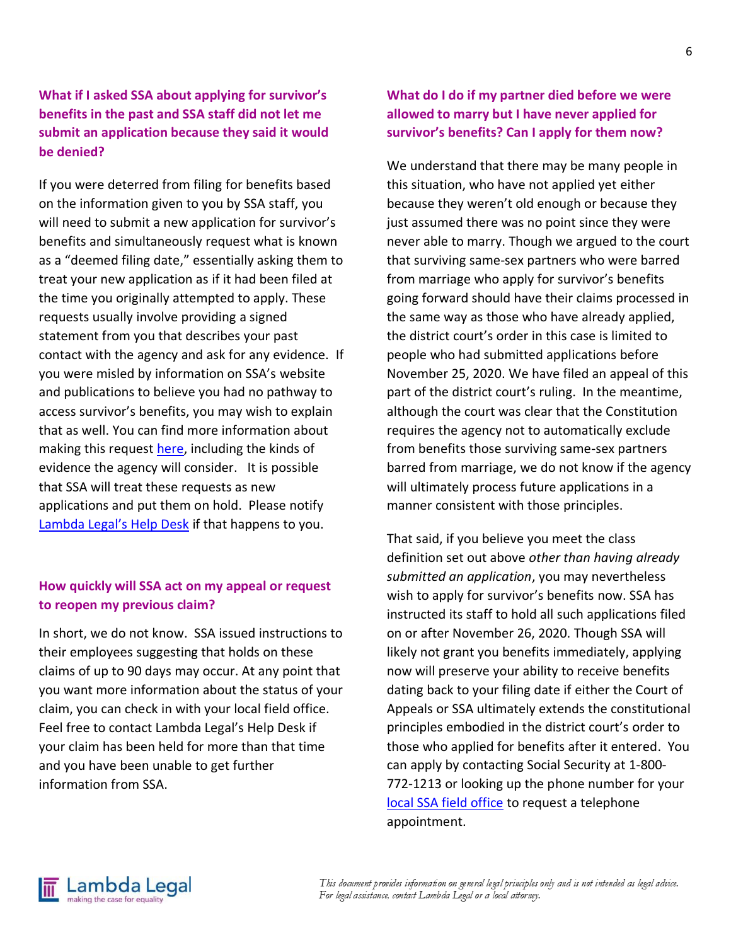# **What if I asked SSA about applying for survivor's benefits in the past and SSA staff did not let me submit an application because they said it would be denied?**

If you were deterred from filing for benefits based on the information given to you by SSA staff, you will need to submit a new application for survivor's benefits and simultaneously request what is known as a "deemed filing date," essentially asking them to treat your new application as if it had been filed at the time you originally attempted to apply. These requests usually involve providing a signed statement from you that describes your past contact with the agency and ask for any evidence. If you were misled by information on SSA's website and publications to believe you had no pathway to access survivor's benefits, you may wish to explain that as well. You can find more information about making this request here, including the kinds of evidence the agency will consider. It is possible that SSA will treat these requests as new applications and put them on hold. Please notify Lambda Legal's Help Desk if that happens to you.

### **How quickly will SSA act on my appeal or request to reopen my previous claim?**

In short, we do not know. SSA issued instructions to their employees suggesting that holds on these claims of up to 90 days may occur. At any point that you want more information about the status of your claim, you can check in with your local field office. Feel free to contact Lambda Legal's Help Desk if your claim has been held for more than that time and you have been unable to get further information from SSA.

### **What do I do if my partner died before we were allowed to marry but I have never applied for survivor's benefits? Can I apply for them now?**

We understand that there may be many people in this situation, who have not applied yet either because they weren't old enough or because they just assumed there was no point since they were never able to marry. Though we argued to the court that surviving same-sex partners who were barred from marriage who apply for survivor's benefits going forward should have their claims processed in the same way as those who have already applied, the district court's order in this case is limited to people who had submitted applications before November 25, 2020. We have filed an appeal of this part of the district court's ruling. In the meantime, although the court was clear that the Constitution requires the agency not to automatically exclude from benefits those surviving same-sex partners barred from marriage, we do not know if the agency will ultimately process future applications in a manner consistent with those principles.

That said, if you believe you meet the class definition set out above *other than having already submitted an application*, you may nevertheless wish to apply for survivor's benefits now. SSA has instructed its staff to hold all such applications filed on or after November 26, 2020. Though SSA will likely not grant you benefits immediately, applying now will preserve your ability to receive benefits dating back to your filing date if either the Court of Appeals or SSA ultimately extends the constitutional principles embodied in the district court's order to those who applied for benefits after it entered. You can apply by contacting Social Security at 1-800- 772-1213 or looking up the phone number for your local SSA field office to request a telephone appointment.

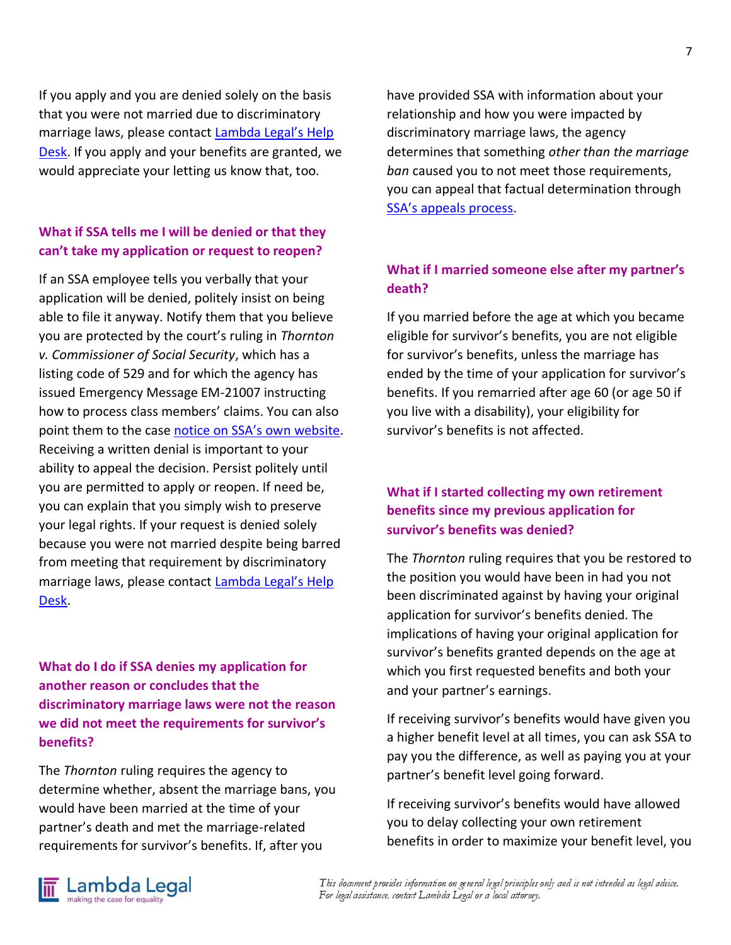If you apply and you are denied solely on the basis that you were not married due to discriminatory marriage laws, please contact Lambda Legal's Help Desk. If you apply and your benefits are granted, we would appreciate your letting us know that, too.

### **What if SSA tells me I will be denied or that they can't take my application or request to reopen?**

If an SSA employee tells you verbally that your application will be denied, politely insist on being able to file it anyway. Notify them that you believe you are protected by the court's ruling in *Thornton v. Commissioner of Social Security*, which has a listing code of 529 and for which the agency has issued Emergency Message EM-21007 instructing how to process class members' claims. You can also point them to the case notice on SSA's own website. Receiving a written denial is important to your ability to appeal the decision. Persist politely until you are permitted to apply or reopen. If need be, you can explain that you simply wish to preserve your legal rights. If your request is denied solely because you were not married despite being barred from meeting that requirement by discriminatory marriage laws, please contact Lambda Legal's Help Desk.

### **What do I do if SSA denies my application for another reason or concludes that the discriminatory marriage laws were not the reason we did not meet the requirements for survivor's benefits?**

The *Thornton* ruling requires the agency to determine whether, absent the marriage bans, you would have been married at the time of your partner's death and met the marriage-related requirements for survivor's benefits. If, after you

have provided SSA with information about your relationship and how you were impacted by discriminatory marriage laws, the agency determines that something *other than the marriage ban* caused you to not meet those requirements, you can appeal that factual determination through SSA's appeals process.

# **What if I married someone else after my partner's death?**

If you married before the age at which you became eligible for survivor's benefits, you are not eligible for survivor's benefits, unless the marriage has ended by the time of your application for survivor's benefits. If you remarried after age 60 (or age 50 if you live with a disability), your eligibility for survivor's benefits is not affected.

### **What if I started collecting my own retirement benefits since my previous application for survivor's benefits was denied?**

The *Thornton* ruling requires that you be restored to the position you would have been in had you not been discriminated against by having your original application for survivor's benefits denied. The implications of having your original application for survivor's benefits granted depends on the age at which you first requested benefits and both your and your partner's earnings.

If receiving survivor's benefits would have given you a higher benefit level at all times, you can ask SSA to pay you the difference, as well as paying you at your partner's benefit level going forward.

If receiving survivor's benefits would have allowed you to delay collecting your own retirement benefits in order to maximize your benefit level, you



This document provides information on general legal principles only and is not intended as legal advice. For legal assistance, contact Lambda Legal or a local attorney.